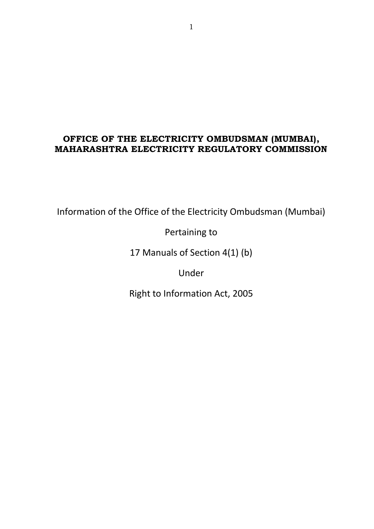### **OFFICE OF THE ELECTRICITY OMBUDSMAN (MUMBAI), MAHARASHTRA ELECTRICITY REGULATORY COMMISSION**

Information of the Office of the Electricity Ombudsman (Mumbai)

Pertaining to

17 Manuals of Section 4(1) (b)

Under

Right to Information Act, 2005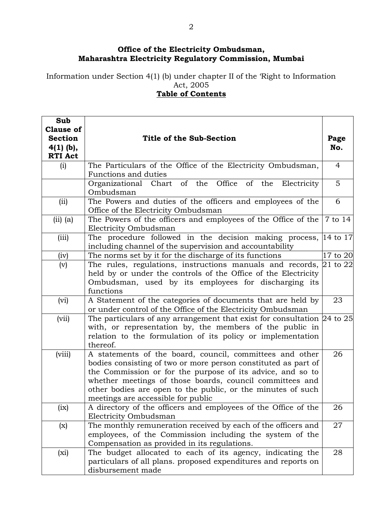### **Office of the Electricity Ombudsman, Maharashtra Electricity Regulatory Commission, Mumbai**

Information under Section 4(1) (b) under chapter II of the 'Right to Information Act, 2005

### **Table of Contents**

| Sub                                               |                                                                                                                                                                                                                                                                                                                                                           |                |  |
|---------------------------------------------------|-----------------------------------------------------------------------------------------------------------------------------------------------------------------------------------------------------------------------------------------------------------------------------------------------------------------------------------------------------------|----------------|--|
| <b>Clause of</b><br><b>Section</b><br>$4(1)$ (b), | Title of the Sub-Section                                                                                                                                                                                                                                                                                                                                  | Page<br>No.    |  |
| <b>RTI Act</b><br>(i)                             | The Particulars of the Office of the Electricity Ombudsman,                                                                                                                                                                                                                                                                                               | $\overline{4}$ |  |
|                                                   | Functions and duties                                                                                                                                                                                                                                                                                                                                      |                |  |
|                                                   | Organizational Chart of the Office of the<br>Electricity<br>Ombudsman                                                                                                                                                                                                                                                                                     | 5              |  |
| (ii)                                              | The Powers and duties of the officers and employees of the<br>Office of the Electricity Ombudsman                                                                                                                                                                                                                                                         | 6              |  |
| $(ii)$ (a)                                        | The Powers of the officers and employees of the Office of the<br>Electricity Ombudsman                                                                                                                                                                                                                                                                    | 7 to 14        |  |
| (iii)                                             | The procedure followed in the decision making process, 14 to 17<br>including channel of the supervision and accountability                                                                                                                                                                                                                                |                |  |
| (iv)                                              | The norms set by it for the discharge of its functions                                                                                                                                                                                                                                                                                                    | 17 to 20       |  |
| (v)                                               | The rules, regulations, instructions manuals and records, $\vert 21$ to $22\vert$<br>held by or under the controls of the Office of the Electricity<br>Ombudsman, used by its employees for discharging its<br>functions                                                                                                                                  |                |  |
| (vi)                                              | A Statement of the categories of documents that are held by<br>or under control of the Office of the Electricity Ombudsman                                                                                                                                                                                                                                | 23             |  |
| (vii)                                             | The particulars of any arrangement that exist for consultation $[24]$ to 25<br>with, or representation by, the members of the public in<br>relation to the formulation of its policy or implementation<br>thereof.                                                                                                                                        |                |  |
| (viii)                                            | A statements of the board, council, committees and other<br>bodies consisting of two or more person constituted as part of<br>the Commission or for the purpose of its advice, and so to<br>whether meetings of those boards, council committees and<br>other bodies are open to the public, or the minutes of such<br>meetings are accessible for public |                |  |
| (ix)                                              | A directory of the officers and employees of the Office of the<br>Electricity Ombudsman                                                                                                                                                                                                                                                                   | 26             |  |
| (x)                                               | The monthly remuneration received by each of the officers and<br>employees, of the Commission including the system of the<br>Compensation as provided in its regulations.                                                                                                                                                                                 |                |  |
| $(x_i)$                                           | The budget allocated to each of its agency, indicating the<br>particulars of all plans. proposed expenditures and reports on<br>disbursement made                                                                                                                                                                                                         | 28             |  |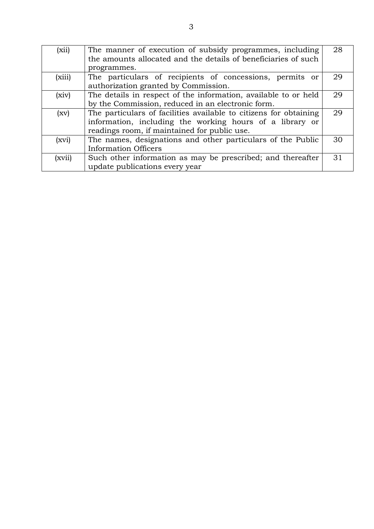| (xii)  | The manner of execution of subsidy programmes, including<br>the amounts allocated and the details of beneficiaries of such | 28 |  |  |  |
|--------|----------------------------------------------------------------------------------------------------------------------------|----|--|--|--|
|        | programmes.                                                                                                                |    |  |  |  |
| (xiii) | The particulars of recipients of concessions, permits or                                                                   | 29 |  |  |  |
|        | authorization granted by Commission.                                                                                       |    |  |  |  |
| (xiv)  | The details in respect of the information, available to or held                                                            | 29 |  |  |  |
|        | by the Commission, reduced in an electronic form.                                                                          |    |  |  |  |
| (xv)   | The particulars of facilities available to citizens for obtaining                                                          | 29 |  |  |  |
|        | information, including the working hours of a library or                                                                   |    |  |  |  |
|        | readings room, if maintained for public use.                                                                               |    |  |  |  |
| (xvi)  | The names, designations and other particulars of the Public                                                                | 30 |  |  |  |
|        | Information Officers                                                                                                       |    |  |  |  |
| (xvii) | Such other information as may be prescribed; and thereafter                                                                | 31 |  |  |  |
|        | update publications every year                                                                                             |    |  |  |  |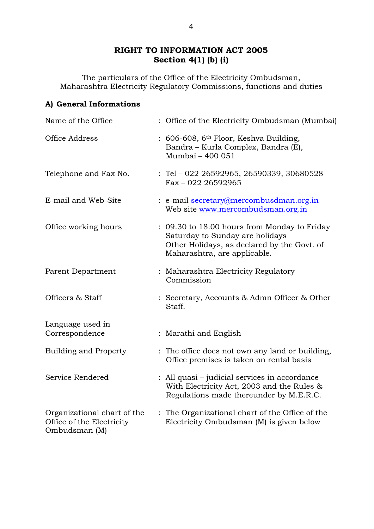### **RIGHT TO INFORMATION ACT 2005 Section 4(1) (b) (i)**

The particulars of the Office of the Electricity Ombudsman, Maharashtra Electricity Regulatory Commissions, functions and duties

### **A) General Informations**

| Name of the Office                                                        | : Office of the Electricity Ombudsman (Mumbai)                                                                                                                 |
|---------------------------------------------------------------------------|----------------------------------------------------------------------------------------------------------------------------------------------------------------|
| Office Address                                                            | : 606-608, 6 <sup>th</sup> Floor, Keshva Building,<br>Bandra - Kurla Complex, Bandra (E),<br>Mumbai - 400 051                                                  |
| Telephone and Fax No.                                                     | : Tel - 022 26592965, 26590339, 30680528<br>$Fax - 022$ 26592965                                                                                               |
| E-mail and Web-Site                                                       | : e-mail secretary@mercombusdman.org.in<br>Web site www.mercombudsman.org.in                                                                                   |
| Office working hours                                                      | : 09.30 to 18.00 hours from Monday to Friday<br>Saturday to Sunday are holidays<br>Other Holidays, as declared by the Govt. of<br>Maharashtra, are applicable. |
| Parent Department                                                         | : Maharashtra Electricity Regulatory<br>Commission                                                                                                             |
| Officers & Staff                                                          | : Secretary, Accounts & Admn Officer & Other<br>Staff.                                                                                                         |
| Language used in<br>Correspondence                                        | : Marathi and English                                                                                                                                          |
| <b>Building and Property</b>                                              | : The office does not own any land or building,<br>Office premises is taken on rental basis                                                                    |
| Service Rendered                                                          | : All quasi – judicial services in accordance<br>With Electricity Act, 2003 and the Rules &<br>Regulations made thereunder by M.E.R.C.                         |
| Organizational chart of the<br>Office of the Electricity<br>Ombudsman (M) | : The Organizational chart of the Office of the<br>Electricity Ombudsman (M) is given below                                                                    |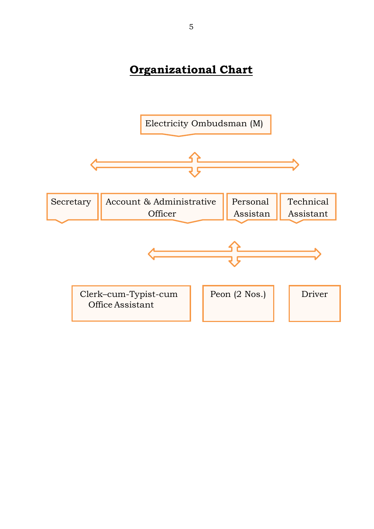# **Organizational Chart**

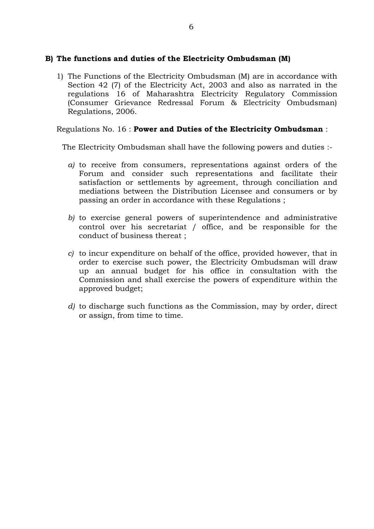### **B) The functions and duties of the Electricity Ombudsman (M)**

1) The Functions of the Electricity Ombudsman (M) are in accordance with Section 42 (7) of the Electricity Act, 2003 and also as narrated in the regulations 16 of Maharashtra Electricity Regulatory Commission (Consumer Grievance Redressal Forum & Electricity Ombudsman) Regulations, 2006.

### Regulations No. 16 : **Power and Duties of the Electricity Ombudsman** :

The Electricity Ombudsman shall have the following powers and duties :-

- *a)* to receive from consumers, representations against orders of the Forum and consider such representations and facilitate their satisfaction or settlements by agreement, through conciliation and mediations between the Distribution Licensee and consumers or by passing an order in accordance with these Regulations ;
- *b)* to exercise general powers of superintendence and administrative control over his secretariat / office, and be responsible for the conduct of business thereat ;
- *c)* to incur expenditure on behalf of the office, provided however, that in order to exercise such power, the Electricity Ombudsman will draw up an annual budget for his office in consultation with the Commission and shall exercise the powers of expenditure within the approved budget;
- *d)* to discharge such functions as the Commission, may by order, direct or assign, from time to time.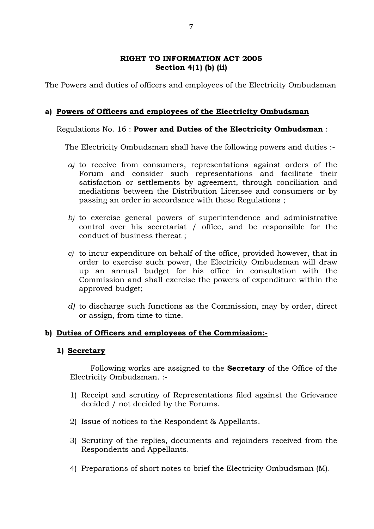#### **RIGHT TO INFORMATION ACT 2005 Section 4(1) (b) (ii)**

The Powers and duties of officers and employees of the Electricity Ombudsman

### **a) Powers of Officers and employees of the Electricity Ombudsman**

### Regulations No. 16 : **Power and Duties of the Electricity Ombudsman** :

The Electricity Ombudsman shall have the following powers and duties :-

- *a)* to receive from consumers, representations against orders of the Forum and consider such representations and facilitate their satisfaction or settlements by agreement, through conciliation and mediations between the Distribution Licensee and consumers or by passing an order in accordance with these Regulations ;
- *b)* to exercise general powers of superintendence and administrative control over his secretariat / office, and be responsible for the conduct of business thereat ;
- *c)* to incur expenditure on behalf of the office, provided however, that in order to exercise such power, the Electricity Ombudsman will draw up an annual budget for his office in consultation with the Commission and shall exercise the powers of expenditure within the approved budget;
- *d)* to discharge such functions as the Commission, may by order, direct or assign, from time to time.

### **b) Duties of Officers and employees of the Commission:-**

#### **1) Secretary**

Following works are assigned to the **Secretary** of the Office of the Electricity Ombudsman. :-

- 1) Receipt and scrutiny of Representations filed against the Grievance decided / not decided by the Forums.
- 2) Issue of notices to the Respondent & Appellants.
- 3) Scrutiny of the replies, documents and rejoinders received from the Respondents and Appellants.
- 4) Preparations of short notes to brief the Electricity Ombudsman (M).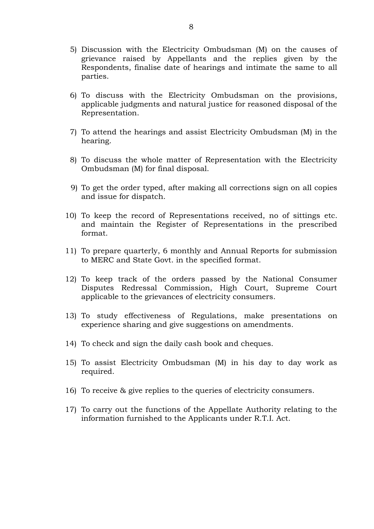- 5) Discussion with the Electricity Ombudsman (M) on the causes of grievance raised by Appellants and the replies given by the Respondents, finalise date of hearings and intimate the same to all parties.
- 6) To discuss with the Electricity Ombudsman on the provisions, applicable judgments and natural justice for reasoned disposal of the Representation.
- 7) To attend the hearings and assist Electricity Ombudsman (M) in the hearing.
- 8) To discuss the whole matter of Representation with the Electricity Ombudsman (M) for final disposal.
- 9) To get the order typed, after making all corrections sign on all copies and issue for dispatch.
- 10) To keep the record of Representations received, no of sittings etc. and maintain the Register of Representations in the prescribed format.
- 11) To prepare quarterly, 6 monthly and Annual Reports for submission to MERC and State Govt. in the specified format.
- 12) To keep track of the orders passed by the National Consumer Disputes Redressal Commission, High Court, Supreme Court applicable to the grievances of electricity consumers.
- 13) To study effectiveness of Regulations, make presentations on experience sharing and give suggestions on amendments.
- 14) To check and sign the daily cash book and cheques.
- 15) To assist Electricity Ombudsman (M) in his day to day work as required.
- 16) To receive & give replies to the queries of electricity consumers.
- 17) To carry out the functions of the Appellate Authority relating to the information furnished to the Applicants under R.T.I. Act.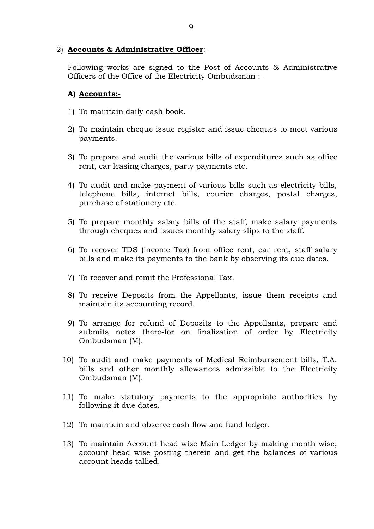### 2) **Accounts & Administrative Officer**:-

Following works are signed to the Post of Accounts & Administrative Officers of the Office of the Electricity Ombudsman :-

### **A) Accounts:-**

- 1) To maintain daily cash book.
- 2) To maintain cheque issue register and issue cheques to meet various payments.
- 3) To prepare and audit the various bills of expenditures such as office rent, car leasing charges, party payments etc.
- 4) To audit and make payment of various bills such as electricity bills, telephone bills, internet bills, courier charges, postal charges, purchase of stationery etc.
- 5) To prepare monthly salary bills of the staff, make salary payments through cheques and issues monthly salary slips to the staff.
- 6) To recover TDS (income Tax) from office rent, car rent, staff salary bills and make its payments to the bank by observing its due dates.
- 7) To recover and remit the Professional Tax.
- 8) To receive Deposits from the Appellants, issue them receipts and maintain its accounting record.
- 9) To arrange for refund of Deposits to the Appellants, prepare and submits notes there-for on finalization of order by Electricity Ombudsman (M).
- 10) To audit and make payments of Medical Reimbursement bills, T.A. bills and other monthly allowances admissible to the Electricity Ombudsman (M).
- 11) To make statutory payments to the appropriate authorities by following it due dates.
- 12) To maintain and observe cash flow and fund ledger.
- 13) To maintain Account head wise Main Ledger by making month wise, account head wise posting therein and get the balances of various account heads tallied.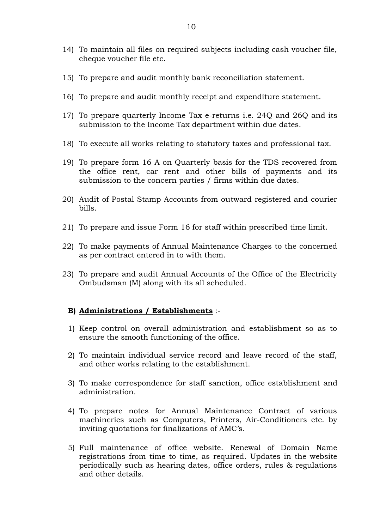- 14) To maintain all files on required subjects including cash voucher file, cheque voucher file etc.
- 15) To prepare and audit monthly bank reconciliation statement.
- 16) To prepare and audit monthly receipt and expenditure statement.
- 17) To prepare quarterly Income Tax e-returns i.e. 24Q and 26Q and its submission to the Income Tax department within due dates.
- 18) To execute all works relating to statutory taxes and professional tax.
- 19) To prepare form 16 A on Quarterly basis for the TDS recovered from the office rent, car rent and other bills of payments and its submission to the concern parties / firms within due dates.
- 20) Audit of Postal Stamp Accounts from outward registered and courier bills.
- 21) To prepare and issue Form 16 for staff within prescribed time limit.
- 22) To make payments of Annual Maintenance Charges to the concerned as per contract entered in to with them.
- 23) To prepare and audit Annual Accounts of the Office of the Electricity Ombudsman (M) along with its all scheduled.

#### **B) Administrations / Establishments** :-

- 1) Keep control on overall administration and establishment so as to ensure the smooth functioning of the office.
- 2) To maintain individual service record and leave record of the staff, and other works relating to the establishment.
- 3) To make correspondence for staff sanction, office establishment and administration.
- 4) To prepare notes for Annual Maintenance Contract of various machineries such as Computers, Printers, Air-Conditioners etc. by inviting quotations for finalizations of AMC's.
- 5) Full maintenance of office website. Renewal of Domain Name registrations from time to time, as required. Updates in the website periodically such as hearing dates, office orders, rules & regulations and other details.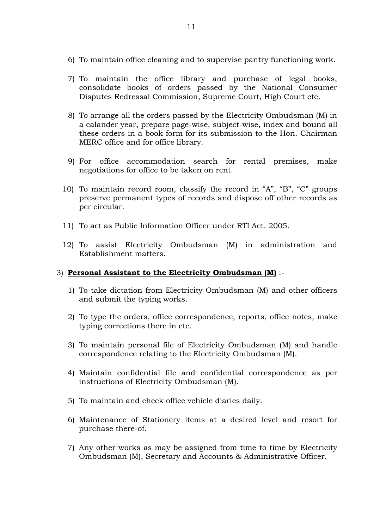- 6) To maintain office cleaning and to supervise pantry functioning work.
- 7) To maintain the office library and purchase of legal books, consolidate books of orders passed by the National Consumer Disputes Redressal Commission, Supreme Court, High Court etc.
- 8) To arrange all the orders passed by the Electricity Ombudsman (M) in a calander year, prepare page-wise, subject-wise, index and bound all these orders in a book form for its submission to the Hon. Chairman MERC office and for office library.
- 9) For office accommodation search for rental premises, make negotiations for office to be taken on rent.
- 10) To maintain record room, classify the record in "A", "B", "C" groups preserve permanent types of records and dispose off other records as per circular.
- 11) To act as Public Information Officer under RTI Act. 2005.
- 12) To assist Electricity Ombudsman (M) in administration and Establishment matters.

### 3) **Personal Assistant to the Electricity Ombudsman (M)** :-

- 1) To take dictation from Electricity Ombudsman (M) and other officers and submit the typing works.
- 2) To type the orders, office correspondence, reports, office notes, make typing corrections there in etc.
- 3) To maintain personal file of Electricity Ombudsman (M) and handle correspondence relating to the Electricity Ombudsman (M).
- 4) Maintain confidential file and confidential correspondence as per instructions of Electricity Ombudsman (M).
- 5) To maintain and check office vehicle diaries daily.
- 6) Maintenance of Stationery items at a desired level and resort for purchase there-of.
- 7) Any other works as may be assigned from time to time by Electricity Ombudsman (M), Secretary and Accounts & Administrative Officer.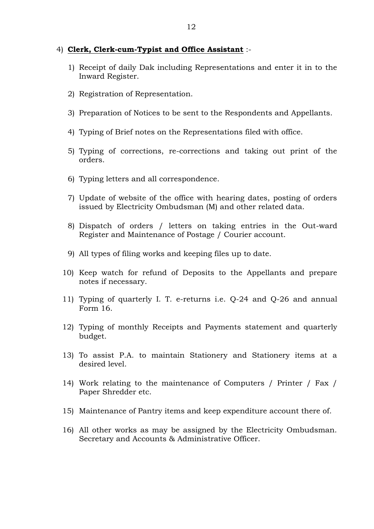#### 4) **Clerk, Clerk-cum-Typist and Office Assistant** :-

- 1) Receipt of daily Dak including Representations and enter it in to the Inward Register.
- 2) Registration of Representation.
- 3) Preparation of Notices to be sent to the Respondents and Appellants.
- 4) Typing of Brief notes on the Representations filed with office.
- 5) Typing of corrections, re-corrections and taking out print of the orders.
- 6) Typing letters and all correspondence.
- 7) Update of website of the office with hearing dates, posting of orders issued by Electricity Ombudsman (M) and other related data.
- 8) Dispatch of orders / letters on taking entries in the Out-ward Register and Maintenance of Postage / Courier account.
- 9) All types of filing works and keeping files up to date.
- 10) Keep watch for refund of Deposits to the Appellants and prepare notes if necessary.
- 11) Typing of quarterly I. T. e-returns i.e. Q-24 and Q-26 and annual Form 16.
- 12) Typing of monthly Receipts and Payments statement and quarterly budget.
- 13) To assist P.A. to maintain Stationery and Stationery items at a desired level.
- 14) Work relating to the maintenance of Computers / Printer / Fax / Paper Shredder etc.
- 15) Maintenance of Pantry items and keep expenditure account there of.
- 16) All other works as may be assigned by the Electricity Ombudsman. Secretary and Accounts & Administrative Officer.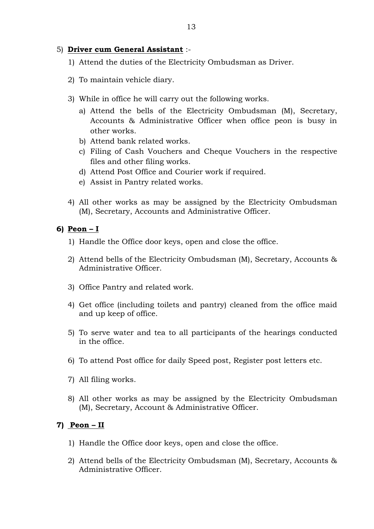### 5) **Driver cum General Assistant** :-

- 1) Attend the duties of the Electricity Ombudsman as Driver.
- 2) To maintain vehicle diary.
- 3) While in office he will carry out the following works.
	- a) Attend the bells of the Electricity Ombudsman (M), Secretary, Accounts & Administrative Officer when office peon is busy in other works.
	- b) Attend bank related works.
	- c) Filing of Cash Vouchers and Cheque Vouchers in the respective files and other filing works.
	- d) Attend Post Office and Courier work if required.
	- e) Assist in Pantry related works.
- 4) All other works as may be assigned by the Electricity Ombudsman (M), Secretary, Accounts and Administrative Officer.

#### **6) Peon – I**

- 1) Handle the Office door keys, open and close the office.
- 2) Attend bells of the Electricity Ombudsman (M), Secretary, Accounts & Administrative Officer.
- 3) Office Pantry and related work.
- 4) Get office (including toilets and pantry) cleaned from the office maid and up keep of office.
- 5) To serve water and tea to all participants of the hearings conducted in the office.
- 6) To attend Post office for daily Speed post, Register post letters etc.
- 7) All filing works.
- 8) All other works as may be assigned by the Electricity Ombudsman (M), Secretary, Account & Administrative Officer.

### **7) Peon – II**

- 1) Handle the Office door keys, open and close the office.
- 2) Attend bells of the Electricity Ombudsman (M), Secretary, Accounts & Administrative Officer.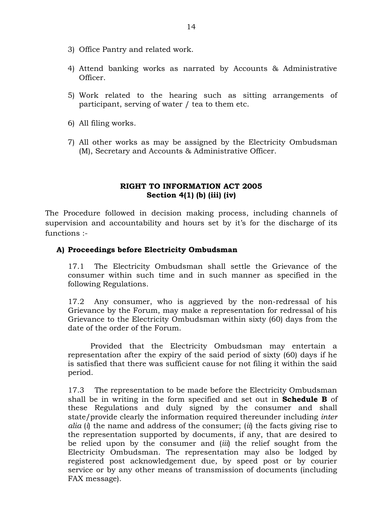- 3) Office Pantry and related work.
- 4) Attend banking works as narrated by Accounts & Administrative Officer.
- 5) Work related to the hearing such as sitting arrangements of participant, serving of water / tea to them etc.
- 6) All filing works.
- 7) All other works as may be assigned by the Electricity Ombudsman (M), Secretary and Accounts & Administrative Officer.

### **RIGHT TO INFORMATION ACT 2005 Section 4(1) (b) (iii) (iv)**

The Procedure followed in decision making process, including channels of supervision and accountability and hours set by it's for the discharge of its functions :-

### **A) Proceedings before Electricity Ombudsman**

17.1 The Electricity Ombudsman shall settle the Grievance of the consumer within such time and in such manner as specified in the following Regulations.

17.2 Any consumer, who is aggrieved by the non-redressal of his Grievance by the Forum, may make a representation for redressal of his Grievance to the Electricity Ombudsman within sixty (60) days from the date of the order of the Forum.

Provided that the Electricity Ombudsman may entertain a representation after the expiry of the said period of sixty (60) days if he is satisfied that there was sufficient cause for not filing it within the said period.

17.3 The representation to be made before the Electricity Ombudsman shall be in writing in the form specified and set out in **Schedule B** of these Regulations and duly signed by the consumer and shall state/provide clearly the information required thereunder including *inter alia* (*i*) the name and address of the consumer; (*ii*) the facts giving rise to the representation supported by documents, if any, that are desired to be relied upon by the consumer and (*iii*) the relief sought from the Electricity Ombudsman. The representation may also be lodged by registered post acknowledgement due, by speed post or by courier service or by any other means of transmission of documents (including FAX message).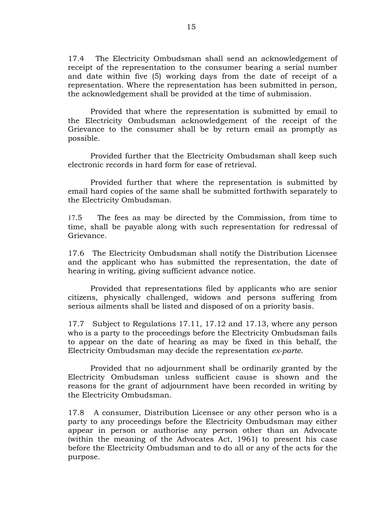17.4 The Electricity Ombudsman shall send an acknowledgement of receipt of the representation to the consumer bearing a serial number and date within five (5) working days from the date of receipt of a representation. Where the representation has been submitted in person, the acknowledgement shall be provided at the time of submission.

Provided that where the representation is submitted by email to the Electricity Ombudsman acknowledgement of the receipt of the Grievance to the consumer shall be by return email as promptly as possible.

Provided further that the Electricity Ombudsman shall keep such electronic records in hard form for ease of retrieval.

Provided further that where the representation is submitted by email hard copies of the same shall be submitted forthwith separately to the Electricity Ombudsman.

17.5 The fees as may be directed by the Commission, from time to time, shall be payable along with such representation for redressal of Grievance.

17.6 The Electricity Ombudsman shall notify the Distribution Licensee and the applicant who has submitted the representation, the date of hearing in writing, giving sufficient advance notice.

Provided that representations filed by applicants who are senior citizens, physically challenged, widows and persons suffering from serious ailments shall be listed and disposed of on a priority basis.

17.7 Subject to Regulations 17.11, 17.12 and 17.13, where any person who is a party to the proceedings before the Electricity Ombudsman fails to appear on the date of hearing as may be fixed in this behalf, the Electricity Ombudsman may decide the representation *ex-parte*.

Provided that no adjournment shall be ordinarily granted by the Electricity Ombudsman unless sufficient cause is shown and the reasons for the grant of adjournment have been recorded in writing by the Electricity Ombudsman.

17.8 A consumer, Distribution Licensee or any other person who is a party to any proceedings before the Electricity Ombudsman may either appear in person or authorise any person other than an Advocate (within the meaning of the Advocates Act, 1961) to present his case before the Electricity Ombudsman and to do all or any of the acts for the purpose.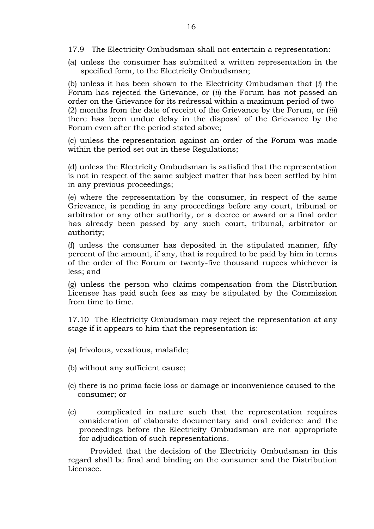- 17.9 The Electricity Ombudsman shall not entertain a representation:
- (a) unless the consumer has submitted a written representation in the specified form, to the Electricity Ombudsman;

(b) unless it has been shown to the Electricity Ombudsman that (*i*) the Forum has rejected the Grievance, or (*ii*) the Forum has not passed an order on the Grievance for its redressal within a maximum period of two (2) months from the date of receipt of the Grievance by the Forum, or (*iii*) there has been undue delay in the disposal of the Grievance by the Forum even after the period stated above;

(c) unless the representation against an order of the Forum was made within the period set out in these Regulations;

(d) unless the Electricity Ombudsman is satisfied that the representation is not in respect of the same subject matter that has been settled by him in any previous proceedings;

(e) where the representation by the consumer, in respect of the same Grievance, is pending in any proceedings before any court, tribunal or arbitrator or any other authority, or a decree or award or a final order has already been passed by any such court, tribunal, arbitrator or authority;

(f) unless the consumer has deposited in the stipulated manner, fifty percent of the amount, if any, that is required to be paid by him in terms of the order of the Forum or twenty-five thousand rupees whichever is less; and

(g) unless the person who claims compensation from the Distribution Licensee has paid such fees as may be stipulated by the Commission from time to time.

17.10 The Electricity Ombudsman may reject the representation at any stage if it appears to him that the representation is:

- (a) frivolous, vexatious, malafide;
- (b) without any sufficient cause;
- (c) there is no prima facie loss or damage or inconvenience caused to the consumer; or
- (c) complicated in nature such that the representation requires consideration of elaborate documentary and oral evidence and the proceedings before the Electricity Ombudsman are not appropriate for adjudication of such representations.

Provided that the decision of the Electricity Ombudsman in this regard shall be final and binding on the consumer and the Distribution Licensee.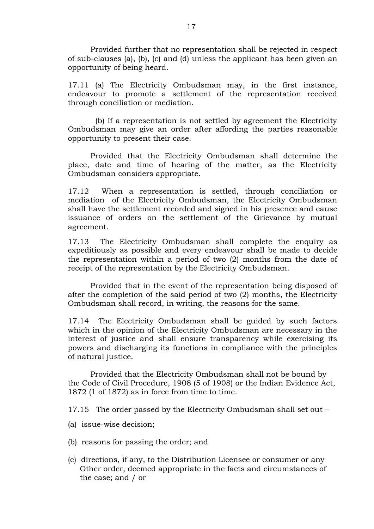Provided further that no representation shall be rejected in respect of sub-clauses (a), (b), (c) and (d) unless the applicant has been given an opportunity of being heard.

17.11 (a) The Electricity Ombudsman may, in the first instance, endeavour to promote a settlement of the representation received through conciliation or mediation.

(b) If a representation is not settled by agreement the Electricity Ombudsman may give an order after affording the parties reasonable opportunity to present their case.

Provided that the Electricity Ombudsman shall determine the place, date and time of hearing of the matter, as the Electricity Ombudsman considers appropriate.

17.12 When a representation is settled, through conciliation or mediation of the Electricity Ombudsman, the Electricity Ombudsman shall have the settlement recorded and signed in his presence and cause issuance of orders on the settlement of the Grievance by mutual agreement.

17.13 The Electricity Ombudsman shall complete the enquiry as expeditiously as possible and every endeavour shall be made to decide the representation within a period of two (2) months from the date of receipt of the representation by the Electricity Ombudsman.

Provided that in the event of the representation being disposed of after the completion of the said period of two (2) months, the Electricity Ombudsman shall record, in writing, the reasons for the same.

17.14 The Electricity Ombudsman shall be guided by such factors which in the opinion of the Electricity Ombudsman are necessary in the interest of justice and shall ensure transparency while exercising its powers and discharging its functions in compliance with the principles of natural justice.

Provided that the Electricity Ombudsman shall not be bound by the Code of Civil Procedure, 1908 (5 of 1908) or the Indian Evidence Act, 1872 (1 of 1872) as in force from time to time.

17.15 The order passed by the Electricity Ombudsman shall set out –

- (a) issue-wise decision;
- (b) reasons for passing the order; and
- (c) directions, if any, to the Distribution Licensee or consumer or any Other order, deemed appropriate in the facts and circumstances of the case; and / or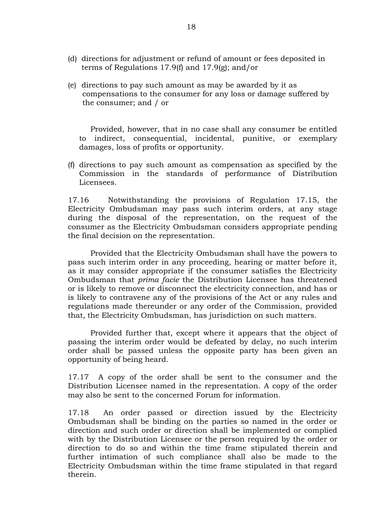- (d) directions for adjustment or refund of amount or fees deposited in terms of Regulations 17.9(f) and 17.9(g); and/or
- (e) directions to pay such amount as may be awarded by it as compensations to the consumer for any loss or damage suffered by the consumer; and / or

Provided, however, that in no case shall any consumer be entitled to indirect, consequential, incidental, punitive, or exemplary damages, loss of profits or opportunity.

(f) directions to pay such amount as compensation as specified by the Commission in the standards of performance of Distribution Licensees.

17.16 Notwithstanding the provisions of Regulation 17.15, the Electricity Ombudsman may pass such interim orders, at any stage during the disposal of the representation, on the request of the consumer as the Electricity Ombudsman considers appropriate pending the final decision on the representation.

Provided that the Electricity Ombudsman shall have the powers to pass such interim order in any proceeding, hearing or matter before it, as it may consider appropriate if the consumer satisfies the Electricity Ombudsman that *prima facie* the Distribution Licensee has threatened or is likely to remove or disconnect the electricity connection, and has or is likely to contravene any of the provisions of the Act or any rules and regulations made thereunder or any order of the Commission, provided that*,* the Electricity Ombudsman, has jurisdiction on such matters.

Provided further that, except where it appears that the object of passing the interim order would be defeated by delay, no such interim order shall be passed unless the opposite party has been given an opportunity of being heard.

17.17 A copy of the order shall be sent to the consumer and the Distribution Licensee named in the representation. A copy of the order may also be sent to the concerned Forum for information.

17.18 An order passed or direction issued by the Electricity Ombudsman shall be binding on the parties so named in the order or direction and such order or direction shall be implemented or complied with by the Distribution Licensee or the person required by the order or direction to do so and within the time frame stipulated therein and further intimation of such compliance shall also be made to the Electricity Ombudsman within the time frame stipulated in that regard therein.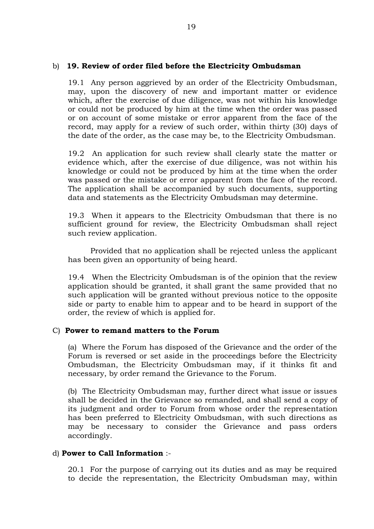### b) **19. Review of order filed before the Electricity Ombudsman**

19.1 Any person aggrieved by an order of the Electricity Ombudsman, may, upon the discovery of new and important matter or evidence which, after the exercise of due diligence, was not within his knowledge or could not be produced by him at the time when the order was passed or on account of some mistake or error apparent from the face of the record, may apply for a review of such order, within thirty (30) days of the date of the order, as the case may be, to the Electricity Ombudsman.

19.2 An application for such review shall clearly state the matter or evidence which, after the exercise of due diligence, was not within his knowledge or could not be produced by him at the time when the order was passed or the mistake or error apparent from the face of the record. The application shall be accompanied by such documents, supporting data and statements as the Electricity Ombudsman may determine.

19.3 When it appears to the Electricity Ombudsman that there is no sufficient ground for review, the Electricity Ombudsman shall reject such review application.

Provided that no application shall be rejected unless the applicant has been given an opportunity of being heard.

19.4 When the Electricity Ombudsman is of the opinion that the review application should be granted, it shall grant the same provided that no such application will be granted without previous notice to the opposite side or party to enable him to appear and to be heard in support of the order, the review of which is applied for.

#### C) **Power to remand matters to the Forum**

(a) Where the Forum has disposed of the Grievance and the order of the Forum is reversed or set aside in the proceedings before the Electricity Ombudsman, the Electricity Ombudsman may, if it thinks fit and necessary, by order remand the Grievance to the Forum.

(b) The Electricity Ombudsman may, further direct what issue or issues shall be decided in the Grievance so remanded, and shall send a copy of its judgment and order to Forum from whose order the representation has been preferred to Electricity Ombudsman, with such directions as may be necessary to consider the Grievance and pass orders accordingly.

#### d) **Power to Call Information** :-

20.1 For the purpose of carrying out its duties and as may be required to decide the representation, the Electricity Ombudsman may, within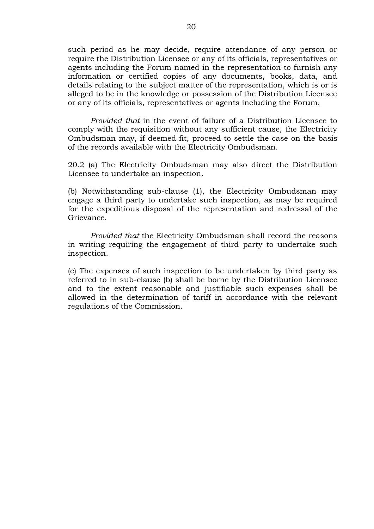such period as he may decide, require attendance of any person or require the Distribution Licensee or any of its officials, representatives or agents including the Forum named in the representation to furnish any information or certified copies of any documents, books, data, and details relating to the subject matter of the representation, which is or is alleged to be in the knowledge or possession of the Distribution Licensee or any of its officials, representatives or agents including the Forum.

*Provided that* in the event of failure of a Distribution Licensee to comply with the requisition without any sufficient cause, the Electricity Ombudsman may, if deemed fit, proceed to settle the case on the basis of the records available with the Electricity Ombudsman.

20.2 (a) The Electricity Ombudsman may also direct the Distribution Licensee to undertake an inspection.

(b) Notwithstanding sub-clause (1), the Electricity Ombudsman may engage a third party to undertake such inspection, as may be required for the expeditious disposal of the representation and redressal of the Grievance.

*Provided that* the Electricity Ombudsman shall record the reasons in writing requiring the engagement of third party to undertake such inspection.

(c) The expenses of such inspection to be undertaken by third party as referred to in sub-clause (b) shall be borne by the Distribution Licensee and to the extent reasonable and justifiable such expenses shall be allowed in the determination of tariff in accordance with the relevant regulations of the Commission.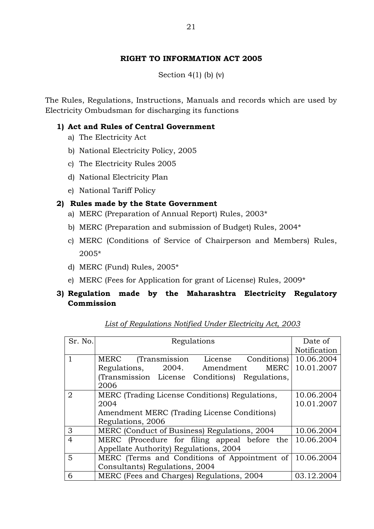Section  $4(1)$  (b) (v)

The Rules, Regulations, Instructions, Manuals and records which are used by Electricity Ombudsman for discharging its functions

### **1) Act and Rules of Central Government**

- a) The Electricity Act
- b) National Electricity Policy, 2005
- c) The Electricity Rules 2005
- d) National Electricity Plan
- e) National Tariff Policy

### **2) Rules made by the State Government**

- a) MERC (Preparation of Annual Report) Rules, 2003\*
- b) MERC (Preparation and submission of Budget) Rules, 2004\*
- c) MERC (Conditions of Service of Chairperson and Members) Rules, 2005\*
- d) MERC (Fund) Rules, 2005\*
- e) MERC (Fees for Application for grant of License) Rules, 2009\*

### **3) Regulation made by the Maharashtra Electricity Regulatory Commission**

| Sr. No.        | Regulations                                    | Date of      |  |  |  |
|----------------|------------------------------------------------|--------------|--|--|--|
|                |                                                | Notification |  |  |  |
|                | (Transmission License<br>MERC<br>Conditions)   | 10.06.2004   |  |  |  |
|                | 2004. Amendment<br><b>MERC</b><br>Regulations, | 10.01.2007   |  |  |  |
|                | (Transmission License Conditions) Regulations, |              |  |  |  |
|                | 2006                                           |              |  |  |  |
| 2              | MERC (Trading License Conditions) Regulations, | 10.06.2004   |  |  |  |
|                | 2004                                           | 10.01.2007   |  |  |  |
|                | Amendment MERC (Trading License Conditions)    |              |  |  |  |
|                | Regulations, 2006                              |              |  |  |  |
| 3              | MERC (Conduct of Business) Regulations, 2004   | 10.06.2004   |  |  |  |
| $\overline{4}$ | MERC (Procedure for filing appeal before the   | 10.06.2004   |  |  |  |
|                | Appellate Authority) Regulations, 2004         |              |  |  |  |
| 5              | MERC (Terms and Conditions of Appointment of   | 10.06.2004   |  |  |  |
|                | Consultants) Regulations, 2004                 |              |  |  |  |
| 6              | MERC (Fees and Charges) Regulations, 2004      | 03.12.2004   |  |  |  |

*List of Regulations Notified Under Electricity Act, 2003*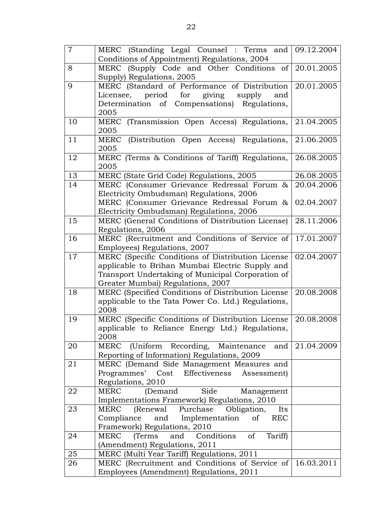| $\overline{7}$ | MERC (Standing Legal Counsel: Terms and 09.12.2004                                       |            |
|----------------|------------------------------------------------------------------------------------------|------------|
|                | Conditions of Appointment) Regulations, 2004                                             |            |
| 8              | MERC (Supply Code and Other Conditions of 20.01.2005                                     |            |
|                | Supply) Regulations, 2005                                                                |            |
| 9              | MERC (Standard of Performance of Distribution 20.01.2005                                 |            |
|                | Licensee, period for giving supply<br>and                                                |            |
|                | Determination of Compensations) Regulations,                                             |            |
|                | 2005                                                                                     |            |
| 10             | MERC (Transmission Open Access) Regulations,                                             | 21.04.2005 |
|                | 2005                                                                                     |            |
| 11             | MERC (Distribution Open Access) Regulations,                                             | 21.06.2005 |
|                | 2005                                                                                     |            |
| 12             | MERC (Terms & Conditions of Tariff) Regulations,                                         | 26.08.2005 |
|                | 2005                                                                                     |            |
| 13             | MERC (State Grid Code) Regulations, 2005                                                 | 26.08.2005 |
| 14             | MERC (Consumer Grievance Redressal Forum &                                               | 20.04.2006 |
|                | Electricity Ombudsman) Regulations, 2006                                                 |            |
|                | MERC (Consumer Grievance Redressal Forum &                                               | 02.04.2007 |
|                | Electricity Ombudsman) Regulations, 2006                                                 |            |
| 15             | MERC (General Conditions of Distribution License)                                        | 28.11.2006 |
|                | Regulations, 2006                                                                        |            |
| 16             | MERC (Recruitment and Conditions of Service of                                           | 17.01.2007 |
|                | Employees) Regulations, 2007                                                             |            |
| 17             | MERC (Specific Conditions of Distribution License                                        | 02.04.2007 |
|                | applicable to Brihan Mumbai Electric Supply and                                          |            |
|                | Transport Undertaking of Municipal Corporation of                                        |            |
|                | Greater Mumbai) Regulations, 2007                                                        |            |
| 18             | MERC (Specified Conditions of Distribution License                                       | 20.08.2008 |
|                | applicable to the Tata Power Co. Ltd.) Regulations,                                      |            |
|                | 2008                                                                                     |            |
| 19             | MERC (Specific Conditions of Distribution License                                        | 20.08.2008 |
|                | applicable to Reliance Energy Ltd.) Regulations,                                         |            |
|                | 2008                                                                                     |            |
| 20             | (Uniform Recording, Maintenance)<br>MERC<br>and                                          | 21.04.2009 |
| 21             | Reporting of Information) Regulations, 2009<br>MERC (Demand Side Management Measures and |            |
|                | Programmes' Cost Effectiveness<br>Assessment)                                            |            |
|                | Regulations, 2010                                                                        |            |
| 22             | Side<br>MERC<br>(Demand<br>Management                                                    |            |
|                | Implementations Framework) Regulations, 2010                                             |            |
| 23             | (Renewal Purchase<br><b>MERC</b><br>Obligation,<br>Its                                   |            |
|                | Compliance and Implementation<br>$\sigma$<br><b>REC</b>                                  |            |
|                | Framework) Regulations, 2010                                                             |            |
| 24             | of<br>(Terms<br>and<br>Conditions<br>Tariff)<br><b>MERC</b>                              |            |
|                | (Amendment) Regulations, 2011                                                            |            |
| 25             | MERC (Multi Year Tariff) Regulations, 2011                                               |            |
| 26             | MERC (Recruitment and Conditions of Service of 16.03.2011                                |            |
|                | Employees (Amendment) Regulations, 2011                                                  |            |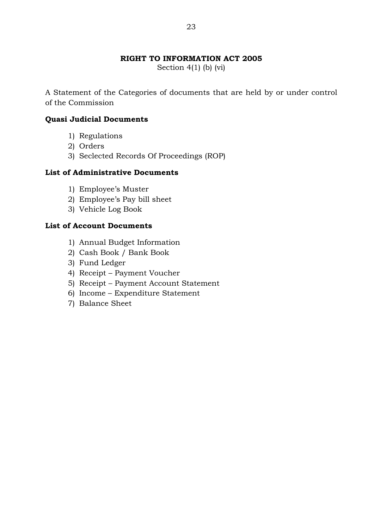Section 4(1) (b) (vi)

A Statement of the Categories of documents that are held by or under control of the Commission

### **Quasi Judicial Documents**

- 1) Regulations
- 2) Orders
- 3) Seclected Records Of Proceedings (ROP)

### **List of Administrative Documents**

- 1) Employee's Muster
- 2) Employee's Pay bill sheet
- 3) Vehicle Log Book

### **List of Account Documents**

- 1) Annual Budget Information
- 2) Cash Book / Bank Book
- 3) Fund Ledger
- 4) Receipt Payment Voucher
- 5) Receipt Payment Account Statement
- 6) Income Expenditure Statement
- 7) Balance Sheet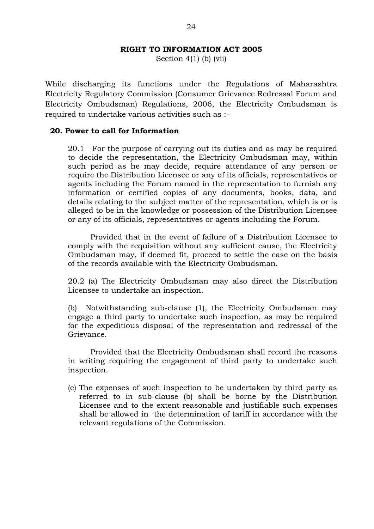Section  $4(1)$  (b) (vii)

While discharging its functions under the Regulations of Maharashtra Electricity Regulatory Commission (Consumer Grievance Redressal Forum and Electricity Ombudsman) Regulations, 2006, the Electricity Ombudsman is required to undertake various activities such as :-

### **20. Power to call for Information**

20.1 For the purpose of carrying out its duties and as may be required to decide the representation, the Electricity Ombudsman may, within such period as he may decide, require attendance of any person or require the Distribution Licensee or any of its officials, representatives or agents including the Forum named in the representation to furnish any information or certified copies of any documents, books, data, and details relating to the subject matter of the representation, which is or is alleged to be in the knowledge or possession of the Distribution Licensee or any of its officials, representatives or agents including the Forum.

Provided that in the event of failure of a Distribution Licensee to comply with the requisition without any sufficient cause, the Electricity Ombudsman may, if deemed fit, proceed to settle the case on the basis of the records available with the Electricity Ombudsman.

20.2 (a) The Electricity Ombudsman may also direct the Distribution Licensee to undertake an inspection.

(b) Notwithstanding sub-clause (1), the Electricity Ombudsman may engage a third party to undertake such inspection, as may be required for the expeditious disposal of the representation and redressal of the Grievance.

Provided that the Electricity Ombudsman shall record the reasons in writing requiring the engagement of third party to undertake such inspection.

(c) The expenses of such inspection to be undertaken by third party as referred to in sub-clause (b) shall be borne by the Distribution Licensee and to the extent reasonable and justifiable such expenses shall be allowed in the determination of tariff in accordance with the relevant regulations of the Commission.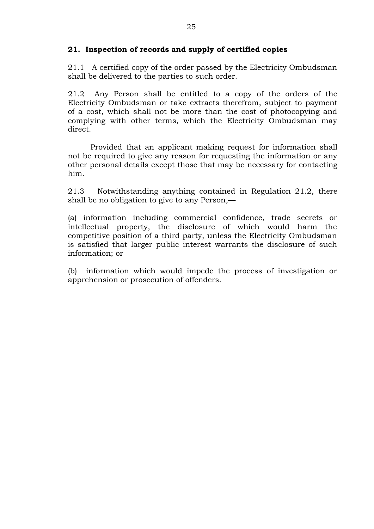### **21. Inspection of records and supply of certified copies**

21.1 A certified copy of the order passed by the Electricity Ombudsman shall be delivered to the parties to such order.

21.2 Any Person shall be entitled to a copy of the orders of the Electricity Ombudsman or take extracts therefrom, subject to payment of a cost, which shall not be more than the cost of photocopying and complying with other terms, which the Electricity Ombudsman may direct.

Provided that an applicant making request for information shall not be required to give any reason for requesting the information or any other personal details except those that may be necessary for contacting him.

21.3 Notwithstanding anything contained in Regulation 21.2, there shall be no obligation to give to any Person,—

(a) information including commercial confidence, trade secrets or intellectual property, the disclosure of which would harm the competitive position of a third party, unless the Electricity Ombudsman is satisfied that larger public interest warrants the disclosure of such information; or

(b) information which would impede the process of investigation or apprehension or prosecution of offenders.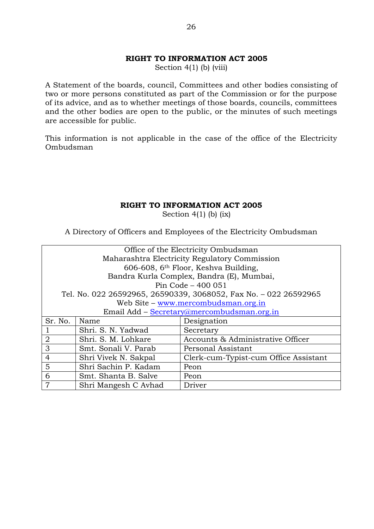Section  $4(1)$  (b) (viii)

A Statement of the boards, council, Committees and other bodies consisting of two or more persons constituted as part of the Commission or for the purpose of its advice, and as to whether meetings of those boards, councils, committees and the other bodies are open to the public, or the minutes of such meetings are accessible for public.

This information is not applicable in the case of the office of the Electricity Ombudsman

### **RIGHT TO INFORMATION ACT 2005**

Section  $4(1)$  (b) (ix)

A Directory of Officers and Employees of the Electricity Ombudsman

| Office of the Electricity Ombudsman                                             |                                                                  |                                                  |  |  |  |
|---------------------------------------------------------------------------------|------------------------------------------------------------------|--------------------------------------------------|--|--|--|
|                                                                                 | Maharashtra Electricity Regulatory Commission                    |                                                  |  |  |  |
|                                                                                 |                                                                  | 606-608, 6 <sup>th</sup> Floor, Keshva Building, |  |  |  |
|                                                                                 |                                                                  | Bandra Kurla Complex, Bandra (E), Mumbai,        |  |  |  |
|                                                                                 | Pin Code - 400 051                                               |                                                  |  |  |  |
|                                                                                 | Tel. No. 022 26592965, 26590339, 3068052, Fax No. - 022 26592965 |                                                  |  |  |  |
|                                                                                 |                                                                  | Web Site – www.mercombudsman.org.in              |  |  |  |
|                                                                                 |                                                                  | Email Add - Secretary@mercombudsman.org.in       |  |  |  |
| Sr. No.<br>Designation<br>Name                                                  |                                                                  |                                                  |  |  |  |
|                                                                                 | Shri. S. N. Yadwad                                               | Secretary                                        |  |  |  |
| 2<br>Shri. S. M. Lohkare                                                        |                                                                  | Accounts & Administrative Officer                |  |  |  |
| 3<br>Smt. Sonali V. Parab<br>Personal Assistant                                 |                                                                  |                                                  |  |  |  |
| $\overline{4}$<br>Shri Vivek N. Sakpal<br>Clerk-cum-Typist-cum Office Assistant |                                                                  |                                                  |  |  |  |
| 5<br>Shri Sachin P. Kadam<br>Peon                                               |                                                                  |                                                  |  |  |  |
| 6<br>Smt. Shanta B. Salve<br>Peon                                               |                                                                  |                                                  |  |  |  |
| 7                                                                               | Shri Mangesh C Avhad                                             | Driver                                           |  |  |  |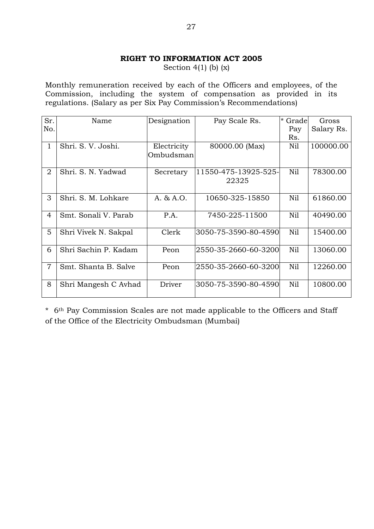Section  $4(1)$  (b)  $(x)$ 

Monthly remuneration received by each of the Officers and employees, of the Commission, including the system of compensation as provided in its regulations. (Salary as per Six Pay Commission's Recommendations)

| Sr.<br>No.     | Name                 | Designation | Pay Scale Rs.        | $^\star$<br>Grade<br>Pay | Gross<br>Salary Rs. |
|----------------|----------------------|-------------|----------------------|--------------------------|---------------------|
|                |                      |             |                      | Rs.                      |                     |
| $\mathbf{1}$   | Shri. S. V. Joshi.   | Electricity | 80000.00 (Max)       | Nil                      | 100000.00           |
|                |                      | Ombudsman   |                      |                          |                     |
| $\overline{2}$ | Shri. S. N. Yadwad   | Secretary   | 11550-475-13925-525- | Nil                      | 78300.00            |
|                |                      |             | 22325                |                          |                     |
| 3              | Shri. S. M. Lohkare  | A. & A.O.   | 10650-325-15850      | Nil                      | 61860.00            |
| $\overline{4}$ | Smt. Sonali V. Parab | P.A.        | 7450-225-11500       | Nil                      | 40490.00            |
| 5              | Shri Vivek N. Sakpal | Clerk       | 3050-75-3590-80-4590 | Nil                      | 15400.00            |
| 6              | Shri Sachin P. Kadam | Peon        | 2550-35-2660-60-3200 | Nil                      | 13060.00            |
| $\overline{7}$ | Smt. Shanta B. Salve | Peon        | 2550-35-2660-60-3200 | Nil                      | 12260.00            |
| 8              | Shri Mangesh C Avhad | Driver      | 3050-75-3590-80-4590 | Nil                      | 10800.00            |

\* 6th Pay Commission Scales are not made applicable to the Officers and Staff of the Office of the Electricity Ombudsman (Mumbai)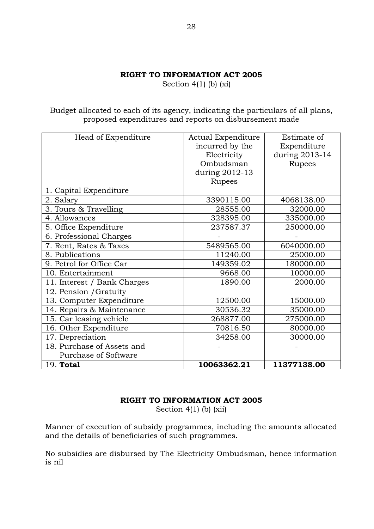Section  $4(1)$  (b) (xi)

Budget allocated to each of its agency, indicating the particulars of all plans, proposed expenditures and reports on disbursement made

| 19. Total                   | 10063362.21        | 11377138.00    |
|-----------------------------|--------------------|----------------|
| Purchase of Software        |                    |                |
| 18. Purchase of Assets and  |                    |                |
| 17. Depreciation            | 34258.00           | 30000.00       |
| 16. Other Expenditure       | 70816.50           | 80000.00       |
| 15. Car leasing vehicle     | 268877.00          | 275000.00      |
| 14. Repairs & Maintenance   | 30536.32           | 35000.00       |
| 13. Computer Expenditure    | 12500.00           | 15000.00       |
| 12. Pension / Gratuity      |                    |                |
| 11. Interest / Bank Charges | 1890.00            | 2000.00        |
| 10. Entertainment           | 9668.00            | 10000.00       |
| 9. Petrol for Office Car    | 149359.02          | 180000.00      |
| 8. Publications             | 11240.00           | 25000.00       |
| 7. Rent, Rates & Taxes      | 5489565.00         | 6040000.00     |
| 6. Professional Charges     |                    |                |
| 5. Office Expenditure       | 237587.37          | 250000.00      |
| 4. Allowances               | 328395.00          | 335000.00      |
| 3. Tours & Travelling       | 28555.00           | 32000.00       |
| 2. Salary                   | 3390115.00         | 4068138.00     |
| 1. Capital Expenditure      |                    |                |
|                             | Rupees             |                |
|                             | during 2012-13     |                |
|                             | Ombudsman          | Rupees         |
|                             | Electricity        | during 2013-14 |
|                             | incurred by the    | Expenditure    |
| Head of Expenditure         | Actual Expenditure | Estimate of    |

### **RIGHT TO INFORMATION ACT 2005**

Section  $4(1)$  (b) (xii)

Manner of execution of subsidy programmes, including the amounts allocated and the details of beneficiaries of such programmes.

No subsidies are disbursed by The Electricity Ombudsman, hence information is nil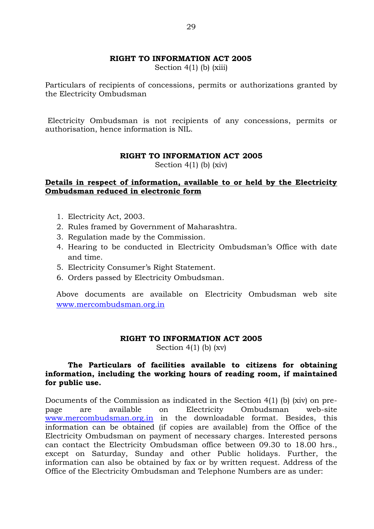Section  $4(1)$  (b) (xiii)

Particulars of recipients of concessions, permits or authorizations granted by the Electricity Ombudsman

Electricity Ombudsman is not recipients of any concessions, permits or authorisation, hence information is NIL.

### **RIGHT TO INFORMATION ACT 2005**

Section  $4(1)$  (b) (xiv)

### **Details in respect of information, available to or held by the Electricity Ombudsman reduced in electronic form**

- 1. Electricity Act, 2003.
- 2. Rules framed by Government of Maharashtra.
- 3. Regulation made by the Commission.
- 4. Hearing to be conducted in Electricity Ombudsman's Office with date and time.
- 5. Electricity Consumer's Right Statement.
- 6. Orders passed by Electricity Ombudsman.

Above documents are available on Electricity Ombudsman web site [www.mercombudsman.org.in](http://www.mercombudsman.org.in/)

#### **RIGHT TO INFORMATION ACT 2005**

Section  $4(1)$  (b) (xv)

### **The Particulars of facilities available to citizens for obtaining information, including the working hours of reading room, if maintained for public use.**

Documents of the Commission as indicated in the Section 4(1) (b) (xiv) on prepage are available on Electricity Ombudsman web-site [www.mercombudsman.org.in](http://www.mercombudsman.org.in/) in the downloadable format. Besides, this information can be obtained (if copies are available) from the Office of the Electricity Ombudsman on payment of necessary charges. Interested persons can contact the Electricity Ombudsman office between 09.30 to 18.00 hrs., except on Saturday, Sunday and other Public holidays. Further, the information can also be obtained by fax or by written request. Address of the Office of the Electricity Ombudsman and Telephone Numbers are as under: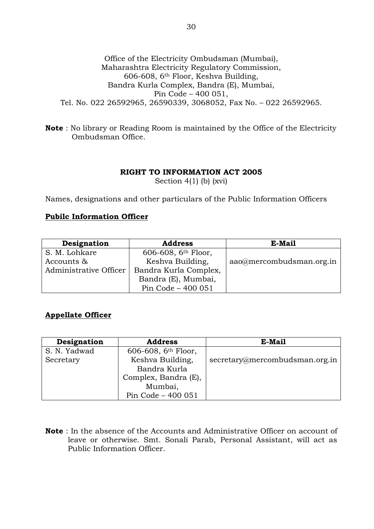### Office of the Electricity Ombudsman (Mumbai), Maharashtra Electricity Regulatory Commission, 606-608, 6th Floor, Keshva Building, Bandra Kurla Complex, Bandra (E), Mumbai, Pin Code – 400 051, Tel. No. 022 26592965, 26590339, 3068052, Fax No. – 022 26592965.

**Note** : No library or Reading Room is maintained by the Office of the Electricity Ombudsman Office.

### **RIGHT TO INFORMATION ACT 2005**

Section 4(1) (b) (xvi)

Names, designations and other particulars of the Public Information Officers

### **Pubilc Information Officer**

| Designation            | <b>Address</b>        | E-Mail                   |  |
|------------------------|-----------------------|--------------------------|--|
| S. M. Lohkare          | 606-608, $6th$ Floor, |                          |  |
| Accounts &             | Keshva Building,      | aao@mercombudsman.org.in |  |
| Administrative Officer | Bandra Kurla Complex, |                          |  |
|                        | Bandra (E), Mumbai,   |                          |  |
|                        | Pin Code - 400 051    |                          |  |

### **Appellate Officer**

| Designation  | <b>Address</b>                  | E-Mail                         |
|--------------|---------------------------------|--------------------------------|
| S. N. Yadwad | 606-608, 6 <sup>th</sup> Floor, |                                |
| Secretary    | Keshva Building,                | secretary@mercombudsman.org.in |
|              | Bandra Kurla                    |                                |
|              | Complex, Bandra (E),            |                                |
|              | Mumbai,                         |                                |
|              | Pin Code - 400 051              |                                |

**Note** : In the absence of the Accounts and Administrative Officer on account of leave or otherwise. Smt. Sonali Parab, Personal Assistant, will act as Public Information Officer.